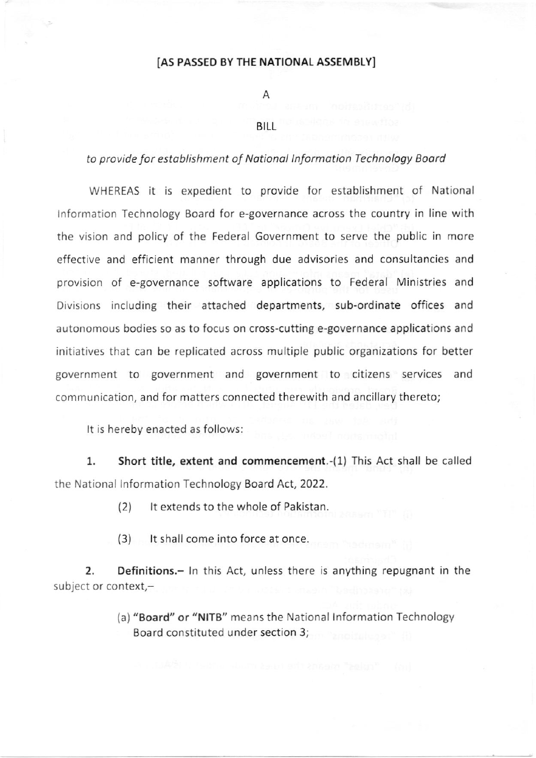## [A5 PASSEO BY THE NATIONAL ASSEMBLY]

Α

## BILL

## to provide for establishment of National Information Technology Board

WHEREAS it is expedient to provide for establishment of National lnformation Technology Board for e-governance across the country in line with the vision and policy of the Federal Government to serve the public in more effective and efficient manner through due advisories and consultancies and provision of e-governance software applications to Federal Ministries and Divisions including their attached departments, sub-ordinate offices and autonomous bodies so as to focus on cross-cutting e-governance applications and initiatives that can be replicated across multiple public organizations for better government to government and government to citizens services and communication, and for matters connected therewith and ancillary thereto;

It is hereby enacted as follows:

l. short title, extent and commencement.-(1) This Act shall be called the National lnformation Technology Board Act,2022.

(2) lt extends to the whole of Pakistan.

(3) It shall come into force at once.

2. Definitions.- In this Act, unless there is anything repugnant in the subject or context,-

> (a) "Board" or "NlTB" means the National lnformation Technology Eoard constituted under section 3;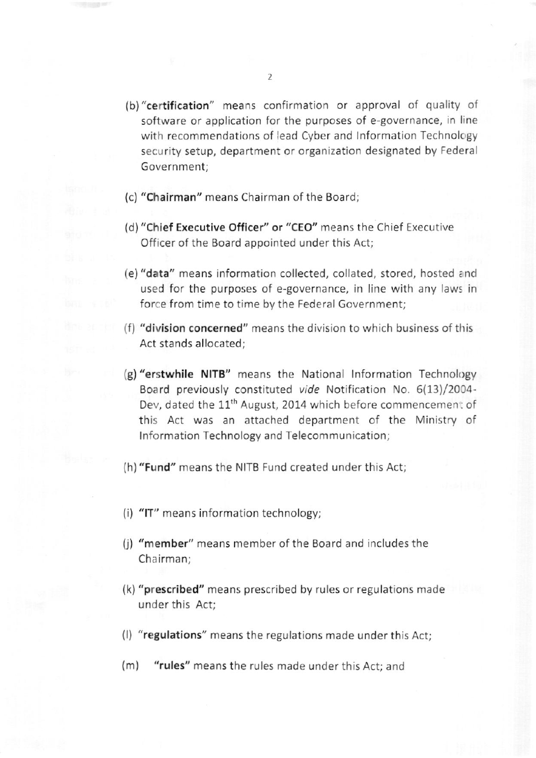- (b)"certification" means confirmation or approval of quality of software or application for the purposes of e-governance, in line with recommendations of lead Cyber and Information Technology security setup, department or organization designated by Federal Government:
- {c) "Chairman" means Chairman of the Board;
- (d) "Chief Executive Officer" or "CEO" means the Chief Executive officer of the Board appointed under this Act;
- (e) "data" means information collected, collated, stored, hosted a nd used for the purposes of e-governance, in line with any laws in force from time to time by the Federal Government;
- (f) "division concerned" means the division to which business of this Act stands allocated;
- (g) "erstwhile NITB" means the National Information Technology Board previously constituted vide Notification No. 6(13)/2004-Dev, dated the 11<sup>th</sup> August, 2014 which before commencement of this Act was an attached department of the Ministry of Information Technology and Telecommunication;
- (h)"Fund" means the NITB Fund created under this Act;
- (i) "lT" means information technology;
- (i) "member" means member of the Board and includes the Chairman:
- (k) "prescribed" means prescribed by rules or regulations made under this Act;
- {l) "regulations" means the regulations made under this Act;
- (m) "rules" means the rules made under this Act; and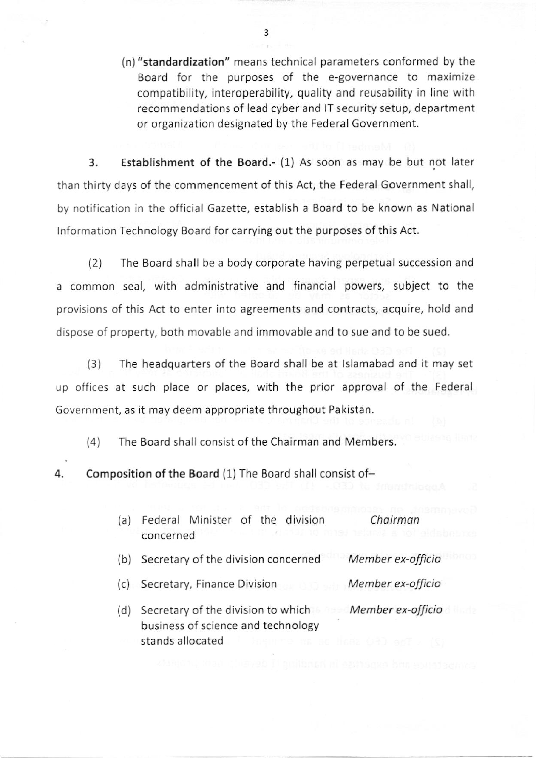(n)"standardization" means technical parameters conformed by the Board for the purposes of the e-governance to maximize compatibility, interoperability, quality and reusability in line with recommendations of lead cyber and lT security setup, department or organization designated by the Federal Government.

3. Establishment of the Board.- (1) As soon as may be but not later than thirty days of the commencement of this Act, the Federal Government shall, by notification in the official Gazette, establish a Board to be known as National Information Technology Board for carrying out the purposes of this Act.

12) The Board shall be a body corporate having perpetual succession and a common seal, with administrative and financial powers, subject to the provisions of this Act to enter into agreements and contracts, acquire, hold and dispose of property, both movable and immovable and to sue and to be sued.

(3) The headquarters of the Board shall be at lslamabad and it may set up offices at such place or places, with the prior approval of the Federal Government, as it may deem appropriate throughout Pakistan.

(4) The Board shall consist of the Chairman and Members.

4. Composition of the Board (1) The Board shall consist of-

| (a) | Federal Minister of the division<br>u lit ya shekingi na shekara wakati w<br>concerned       | Chairman          |
|-----|----------------------------------------------------------------------------------------------|-------------------|
| (b) | Secretary of the division concerned                                                          | Member ex-officio |
| (c) | Secretary, Finance Division<br>TO STERN                                                      | Member ex-officio |
| (d) | Secretary of the division to which<br>business of science and technology<br>stands allocated | Member ex-officio |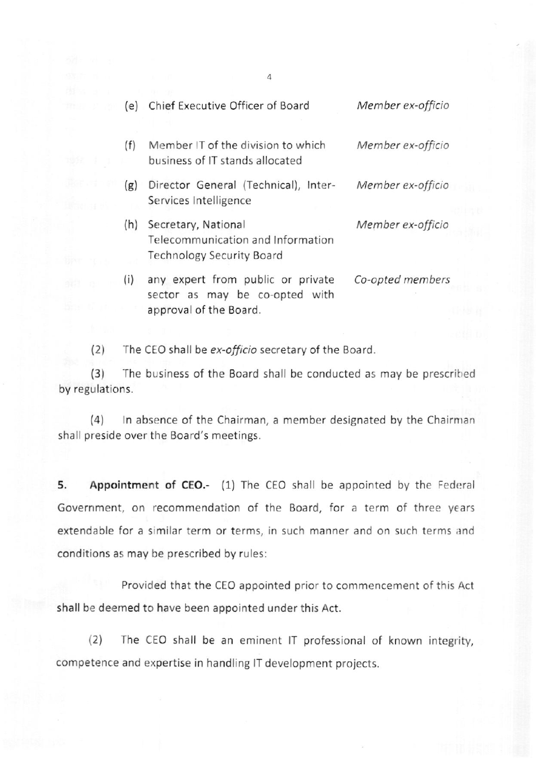| (e) | Chief Executive Officer of Board                                                              | Member ex-officio |
|-----|-----------------------------------------------------------------------------------------------|-------------------|
| (f) | Member IT of the division to which<br>business of IT stands allocated                         | Member ex-officio |
| (g) | Director General (Technical), Inter-<br>Services Intelligence                                 | Member ex-officio |
| (h) | Secretary, National<br>Telecommunication and Information<br><b>Technology Security Board</b>  | Member ex-officio |
| (i) | any expert from public or private<br>sector as may be co-opted with<br>approval of the Board. | Co-opted members  |
|     |                                                                                               |                   |

4

(2) The CEO shall be ex-officio secretary of the Board.

(3) The business of the Board shall be conducted as may be prescrihed by regulations.

(4) In absence of the Chairman, a member designated by the Chairman shall preside over the Board's meetings.

5. Appointment of CEO.- (1) The CEO shall be appointed by the Federal Government, on recommendation of the Board, for a term of three years extendable for a similar term or terms, in such manner and on such terms and conditions as may be prescribed by rules:

Provided that the CEO appointed prior to commencement of this Act shall be deemed to have been appointed under this Act.

(2) The CEO shall be an eminent IT professional of known integrity, competence and expertise in handling lT development projects.